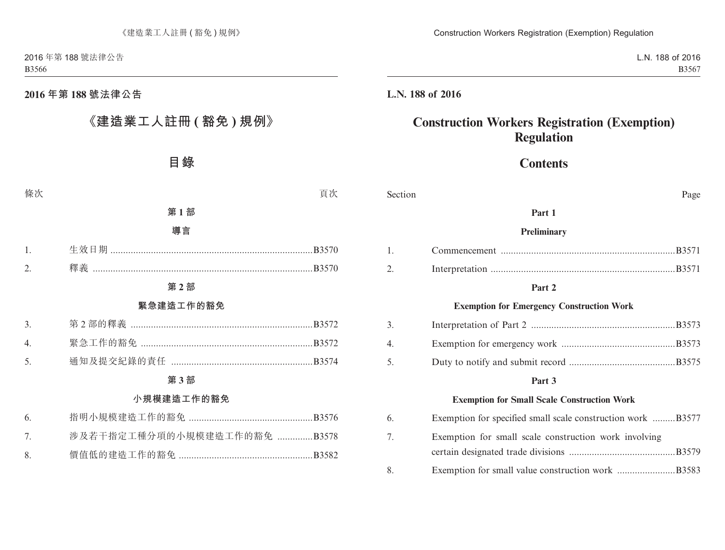### **2016 年第 188 號法律公告**

# **《建造業工人註冊 ( 豁免 ) 規例》**

# **目錄**

條次 いっちょう しょうしょう しょうしょう かいしょう うちのう うちのう 買次 しょうしょく

#### **第 1 部**

#### **導言**

#### **第 2 部**

#### **緊急建造工作的豁免**

| 3.     第2部的釋義 ………………………………………………………………B3572 |  |
|---------------------------------------------|--|
|                                             |  |
| 5.     通知及提交紀錄的責任 …………………………………………………B3574  |  |

#### **第 3 部**

#### **小規模建造工作的豁免**

|  |                                  | 6. |
|--|----------------------------------|----|
|  | 涉及若干指定工種分項的小規模建造工作的豁免 B3578<br>7 |    |
|  |                                  | 8  |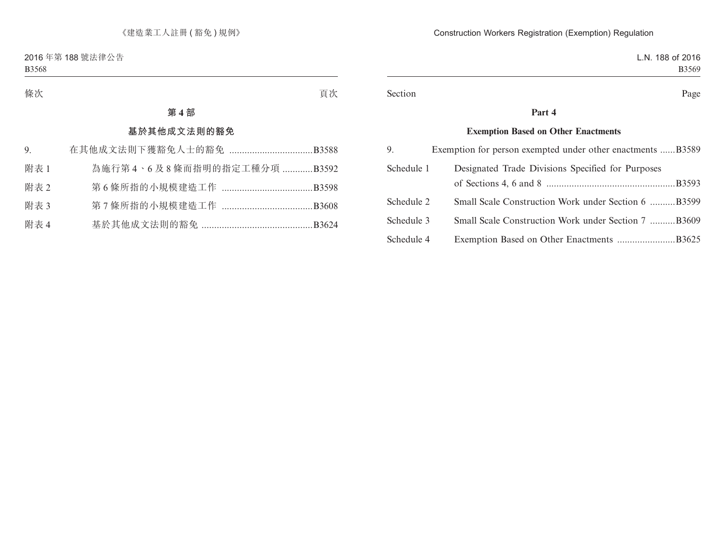| 條次 |     | 頁次 |  |  |
|----|-----|----|--|--|
|    | 第4部 |    |  |  |

### **基於其他成文法則的豁免**

| 9.   |                            |
|------|----------------------------|
| 附表 1 | 為施行第4、6及8條而指明的指定工種分項 B3592 |
| 附表 2 |                            |
| 附表 3 |                            |
| 附表 4 |                            |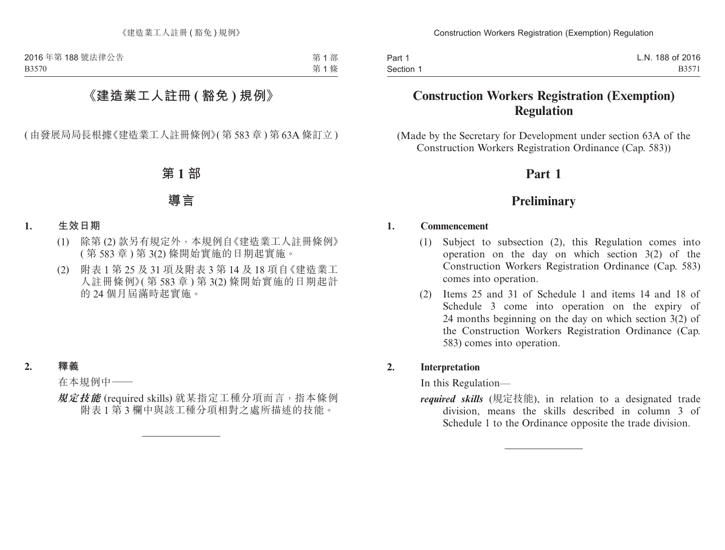第 1 部 第 1 條

# **《建造業工人註冊 ( 豁免 ) 規例》**

( 由發展局局長根據《建造業工人註冊條例》( 第 583 章 ) 第 63A 條訂立 )

### **第 1 部**

### **導言**

- **1. 生效日期**
	- (1) 除第 (2) 款另有規定外,本規例自《建造業工人註冊條例》 ( 第 583 章 ) 第 3(2) 條開始實施的日期起實施。
	- (2) 附表 1 第 25 及 31 項及附表 3 第 14 及 18 項自《建造業工 人註冊條例》( 第 583 章 ) 第 3(2) 條開始實施的日期起計 的 24 個月屆滿時起實施。

#### **2. 釋義**

在本規例中——

**規定技能** (required skills) 就某指定工種分項而言,指本條例 附表 1 第 3 欄中與該工種分項相對之處所描述的技能。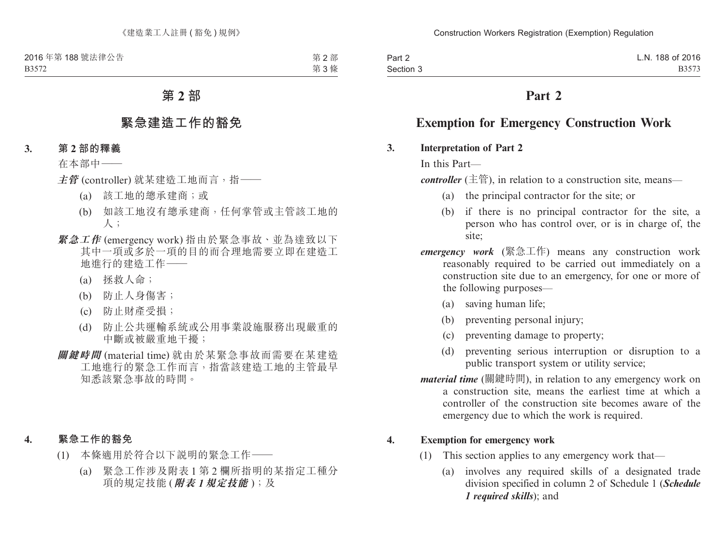第 2 部 第 3 條

# **第 2 部**

## **緊急建造工作的豁免**

**3. 第 2 部的釋義**

在本部中——

**主管** (controller) 就某建造工地而言,指——

- (a) 該工地的總承建商;或
- (b) 如該工地沒有總承建商,任何掌管或主管該工地的 人;
- **緊急工作** (emergency work) 指由於緊急事故、並為達致以下 其中一項或多於一項的目的而合理地需要立即在建造工 地進行的建造工作——
	- (a) 拯救人命;
	- (b) 防止人身傷害;
	- (c) 防止財產受損;
	- (d) 防止公共運輸系統或公用事業設施服務出現嚴重的 中斷或被嚴重地干擾;
- **關鍵時間** (material time) 就由於某緊急事故而需要在某建造 工地進行的緊急工作而言,指當該建造工地的主管最早 知悉該緊急事故的時間。
- **4. 緊急工作的豁免**
	- (1) 本條適用於符合以下說明的緊急工作——
		- (a) 緊急工作涉及附表 1 第 2 欄所指明的某指定工種分 項的規定技能 (**附表** *1***規定技能** );及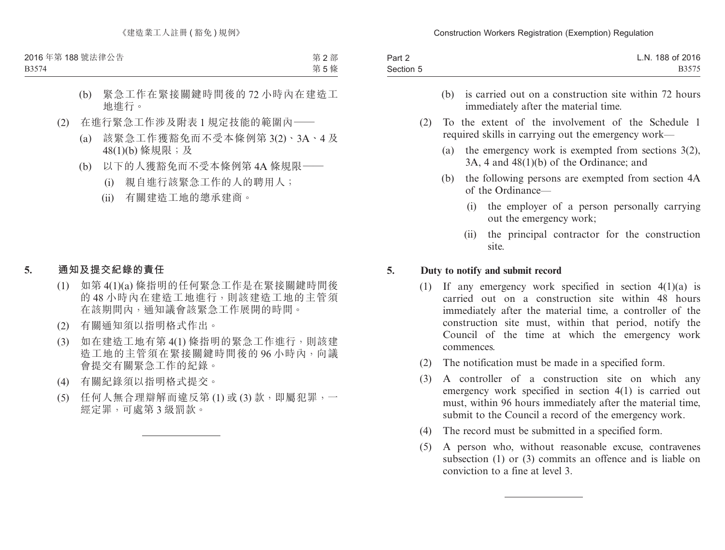B3574

第 2 部 第 5 條

- (b) 緊急工作在緊接關鍵時間後的 72 小時內在建造工 地進行。
- (2) 在進行緊急工作涉及附表 1 規定技能的範圍內——
	- (a) 該緊急工作獲豁免而不受本條例第 3(2)、3A、4 及 48(1)(b) 條規限;及
	- (b) 以下的人獲豁免而不受本條例第 4A 條規限——
		- (i) 親自進行該緊急工作的人的聘用人;
		- (ii) 有關建造工地的總承建商。

#### **5. 通知及提交紀錄的責任**

- (1) 如第 4(1)(a) 條指明的任何緊急工作是在緊接關鍵時間後 的 48 小時內在建造工地進行,則該建造工地的主管須 在該期間內,通知議會該緊急工作展開的時間。
- (2) 有關通知須以指明格式作出。
- (3) 如在建造工地有第 4(1) 條指明的緊急工作進行,則該建 造工地的主管須在緊接關鍵時間後的96小時內,向議 會提交有關緊急工作的紀錄。
- (4) 有關紀錄須以指明格式提交。
- (5) 任何人無合理辯解而違反第 (1) 或 (3) 款,即屬犯罪,一 經定罪,可處第 3 級罰款。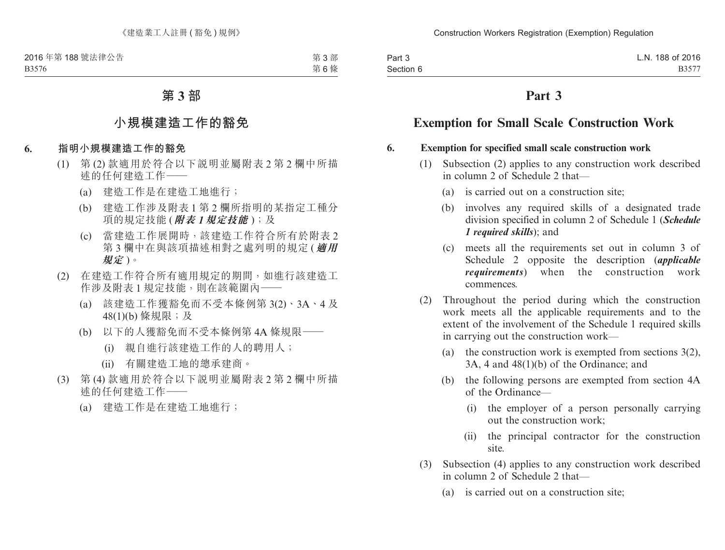第 3 部 第 6 條

### **第 3 部**

### **小規模建造工作的豁免**

- **6. 指明小規模建造工作的豁免**
	- (1) 第 (2) 款適用於符合以下說明並屬附表 2 第 2 欄中所描 述的任何建造工作——
		- (a) 建造工作是在建造工地進行;
		- (b) 建造工作涉及附表 1 第 2 欄所指明的某指定工種分 項的規定技能 (**附表** *1***規定技能** );及
		- (c) 當建造工作展開時,該建造工作符合所有於附表 2 第 3 欄中在與該項描述相對之處列明的規定 (**適用 規定** )。
	- (2) 在建造工作符合所有適用規定的期間,如進行該建造工 作涉及附表 1 規定技能,則在該範圍內——
		- (a) 該建造工作獲豁免而不受本條例第 3(2)、3A、4 及 48(1)(b) 條規限;及
		- (b) 以下的人獲豁免而不受本條例第 4A 條規限——
			- (i) 親自進行該建造工作的人的聘用人;
			- (ii) 有關建造工地的總承建商。
	- (3) 第 (4) 款適用於符合以下說明並屬附表 2 第 2 欄中所描 述的任何建造工作——
		- (a) 建造工作是在建造工地進行;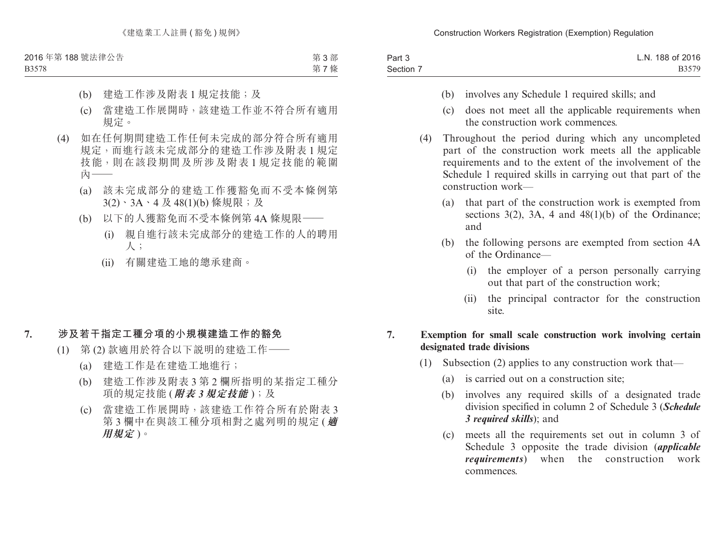B3578

第 3 部 第 7 條

- (b) 建造工作涉及附表 1 規定技能;及
- (c) 當建造工作展開時,該建造工作並不符合所有適用 規定。
- (4) 如在任何期間建造工作任何未完成的部分符合所有適用 規定,而進行該未完成部分的建造工作涉及附表 1 規定 技能,則在該段期間及所涉及附表 1 規定技能的範圍 內——
	- (a) 該未完成部分的建造工作獲豁免而不受本條例第 3(2)、3A、4 及 48(1)(b) 條規限;及
	- (b) 以下的人獲豁免而不受本條例第 4A 條規限——
		- (i) 親自進行該未完成部分的建造工作的人的聘用 人;
		- (ii) 有關建造工地的總承建商。

### **7. 涉及若干指定工種分項的小規模建造工作的豁免**

- (1) 第 (2) 款適用於符合以下說明的建造工作——
	- (a) 建造工作是在建造工地進行;
	- (b) 建造工作涉及附表 3 第 2 欄所指明的某指定工種分 項的規定技能 (**附表** *3***規定技能** );及
	- (c) 當建造工作展開時,該建造工作符合所有於附表 3 第 3 欄中在與該工種分項相對之處列明的規定 (**適 用規定** )。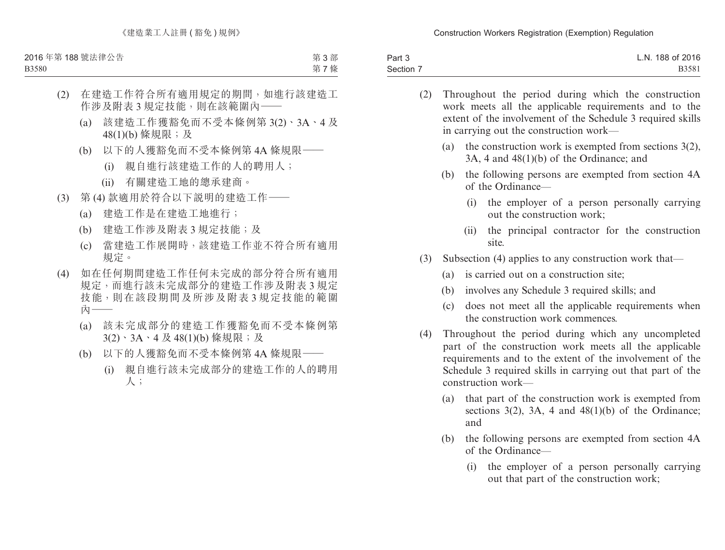B3580

第 3 部 第 7 條

### (2) 在建造工作符合所有適用規定的期間,如進行該建造工 作涉及附表 3 規定技能,則在該範圍內——

- (a) 該建造工作獲豁免而不受本條例第 3(2)、3A、4 及 48(1)(b) 條規限;及
- (b) 以下的人獲豁免而不受本條例第 4A 條規限——
	- (i) 親自進行該建造工作的人的聘用人;
	- (ii) 有關建造工地的總承建商。
- (3) 第 (4) 款適用於符合以下說明的建造工作——
	- (a) 建造工作是在建造工地進行;
	- (b) 建造工作涉及附表 3 規定技能;及
	- (c) 當建造工作展開時,該建造工作並不符合所有適用 規定。
- (4) 如在任何期間建造工作任何未完成的部分符合所有適用 規定,而進行該未完成部分的建造工作涉及附表 3 規定 技能,則在該段期間及所涉及附表 3 規定技能的範圍 內——
	- (a) 該未完成部分的建造工作獲豁免而不受本條例第 3(2)、3A、4 及 48(1)(b) 條規限;及
	- (b) 以下的人獲豁免而不受本條例第 4A 條規限——
		- (i) 親自進行該未完成部分的建造工作的人的聘用 人;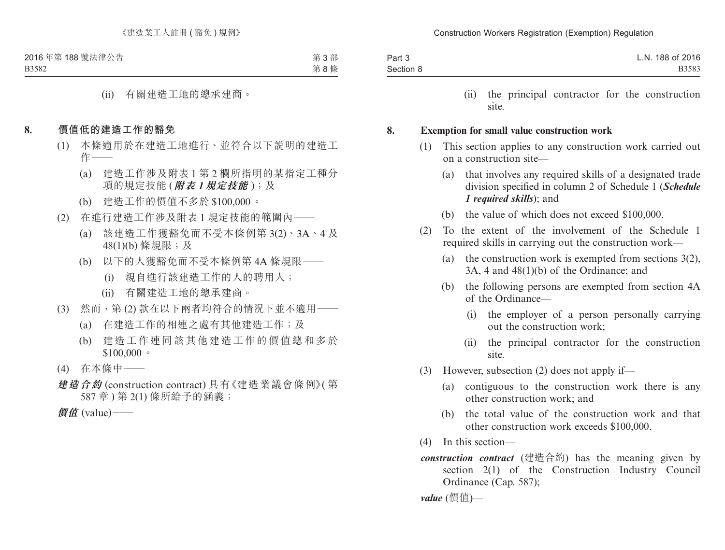第 3 部 第 8 條

(ii) 有關建造工地的總承建商。

#### **8. 價值低的建造工作的豁免**

- (1) 本條適用於在建造工地進行、並符合以下說明的建造工  $<sub>1</sub>$ </sub>
	- (a) 建造工作涉及附表 1 第 2 欄所指明的某指定工種分 項的規定技能 (**附表** *1***規定技能** );及
	- (b) 建造工作的價值不多於 \$100,000。
- (2) 在進行建造工作涉及附表 1 規定技能的範圍內——
	- (a) 該建造工作獲豁免而不受本條例第 3(2)、3A、4 及 48(1)(b) 條規限;及
	- (b) 以下的人獲豁免而不受本條例第 4A 條規限——
		- (i) 親自進行該建造工作的人的聘用人;
		- (ii) 有關建造工地的總承建商。
- (3) 然而,第 (2) 款在以下兩者均符合的情況下並不適用——
	- (a) 在建造工作的相連之處有其他建造工作;及
	- (b) 建造工作連同該其他建造工作的價值總和多於  $$100,000$
- (4) 在本條中——
- **建造合約** (construction contract) 具有《建造業議會條例》( 第 587 章 ) 第 2(1) 條所給予的涵義;

**價值** (value)——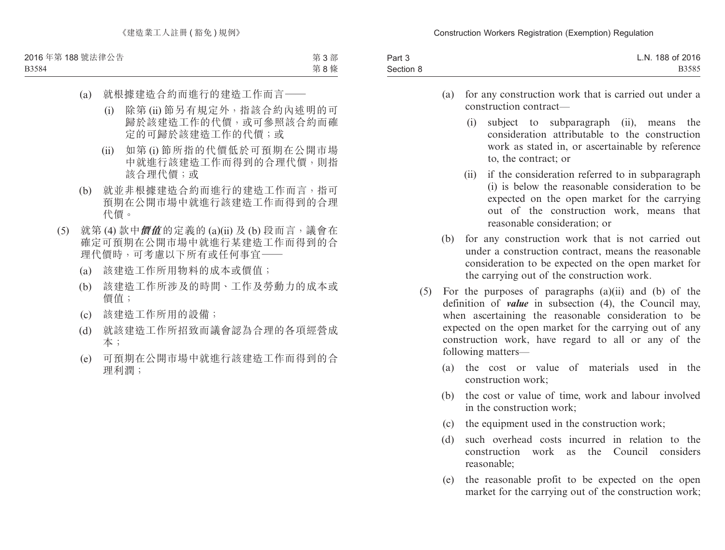B3584

第 3 部 第 8 條

- (a) 就根據建造合約而進行的建造工作而言——
	- (i) 除第 (ii) 節另有規定外,指該合約內述明的可 歸於該建造工作的代價,或可參照該合約而確 定的可歸於該建造工作的代價;或
	- (ii) 如第 (i) 節所指的代價低於可預期在公開市場 中就進行該建造工作而得到的合理代價,則指 該合理代價;或
- (b) 就並非根據建造合約而進行的建造工作而言,指可 預期在公開市場中就進行該建造工作而得到的合理 代價。
- (5) 就第 (4) 款中**價值** 的定義的 (a)(ii) 及 (b) 段而言,議會在 確定可預期在公開市場中就進行某建造工作而得到的合 理代價時,可考慮以下所有或任何事宜——
	- (a) 該建造工作所用物料的成本或價值;
	- (b) 該建造工作所涉及的時間、工作及勞動力的成本或 價值;
	- (c) 該建造工作所用的設備;
	- (d) 就該建造工作所招致而議會認為合理的各項經營成 本;
	- (e) 可預期在公開市場中就進行該建造工作而得到的合 理利潤;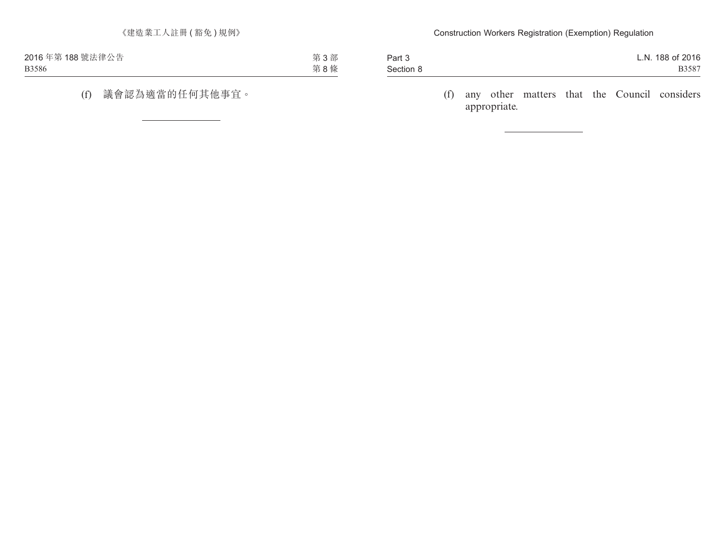| 2016年第188號法律公告 | 第3部 |  |
|----------------|-----|--|
| <b>B3586</b>   | 第8條 |  |

## (f) 議會認為適當的任何其他事宜。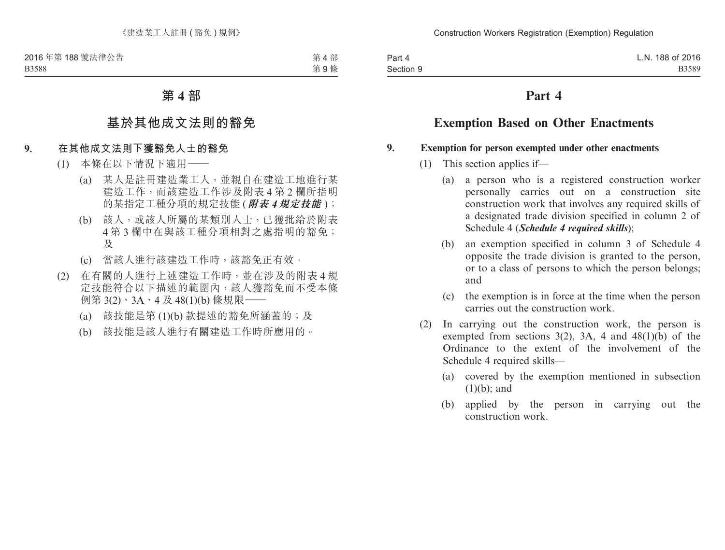第4部 第 9 條

### **第 4 部**

# **基於其他成文法則的豁免**

#### **9. 在其他成文法則下獲豁免人士的豁免**

- (1) 本條在以下情況下適用——
	- (a) 某人是註冊建造業工人,並親自在建造工地進行某 建造工作,而該建造工作涉及附表 4 第 2 欄所指明 的某指定工種分項的規定技能 (**附表** *4***規定技能** );
	- (b) 該人,或該人所屬的某類別人士,已獲批給於附表 4 第 3 欄中在與該工種分項相對之處指明的豁免; 及
	- (c) 當該人進行該建造工作時,該豁免正有效。
- (2) 在有關的人進行上述建造工作時,並在涉及的附表 4 規 定技能符合以下描述的範圍內,該人獲豁免而不受本條 例第 3(2)、3A、4 及 48(1)(b) 條規限——
	- (a) 該技能是第 (1)(b) 款提述的豁免所涵蓋的;及
	- (b) 該技能是該人進行有關建造工作時所應用的。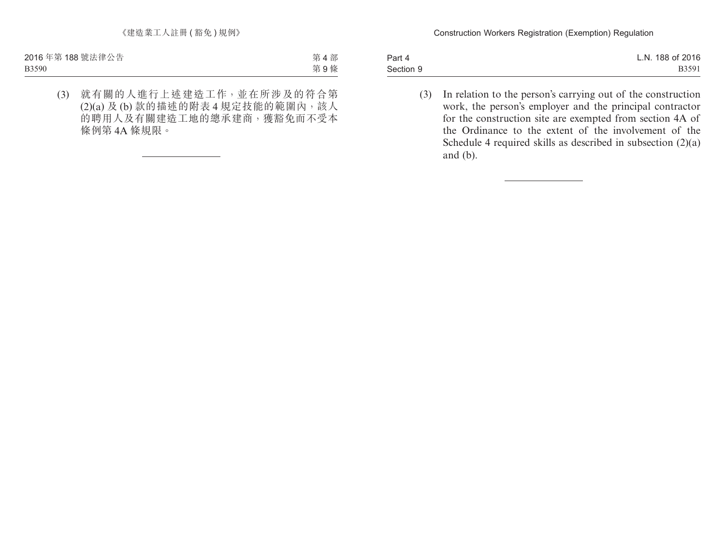第4部 第 9 條

(3) 就有關的人進行上述建造工作,並在所涉及的符合第 (2)(a) 及 (b) 款的描述的附表 4 規定技能的範圍內,該人 的聘用人及有關建造工地的總承建商,獲豁免而不受本 條例第 4A 條規限。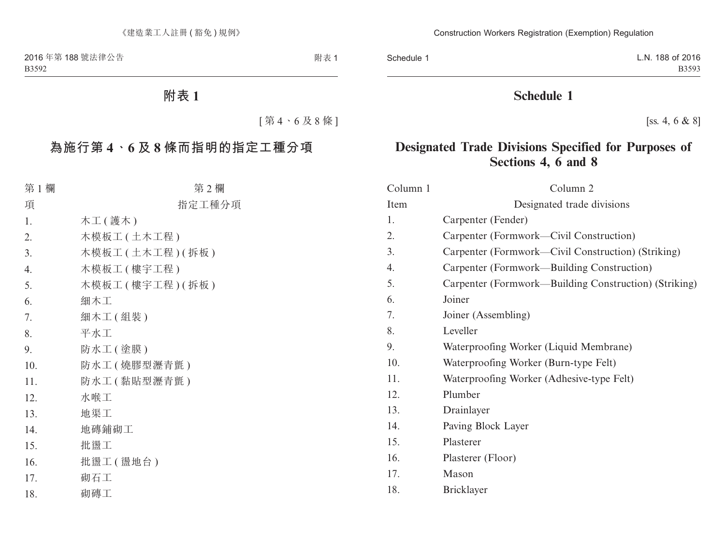附表 1

# **附表 1**

[ 第 4、6 及 8 條 ]

# **為施行第 4、6 及 8 條而指明的指定工種分項**

| 第1欄 | 第2欄                  |
|-----|----------------------|
| 項   | 指定工種分項               |
| 1.  | 木工(護木)               |
| 2.  | 木模板工 (土木工程)          |
| 3.  | 木模板工 (土木工程) (拆板)     |
| 4.  | 木模板工 ( 樓宇工程 )        |
| 5.  | 木模板工 ( 樓宇工程 ) ( 拆板 ) |
| 6.  | 細木工                  |
| 7.  | 細木工(組裝)              |
| 8.  | 平水工                  |
| 9.  | 防水工(塗膜)              |
| 10. | 防水工(燒膠型瀝青氈)          |
| 11. | 防水工 ( 黏貼型瀝青氈 )       |
| 12. | 水喉工                  |
| 13. | 地渠工                  |
| 14. | 地磚鋪砌工                |
| 15. | 批盪工                  |
| 16. | 批盪工(盪地台)             |
| 17. | 砌石工                  |
| 18. | 砌磚工                  |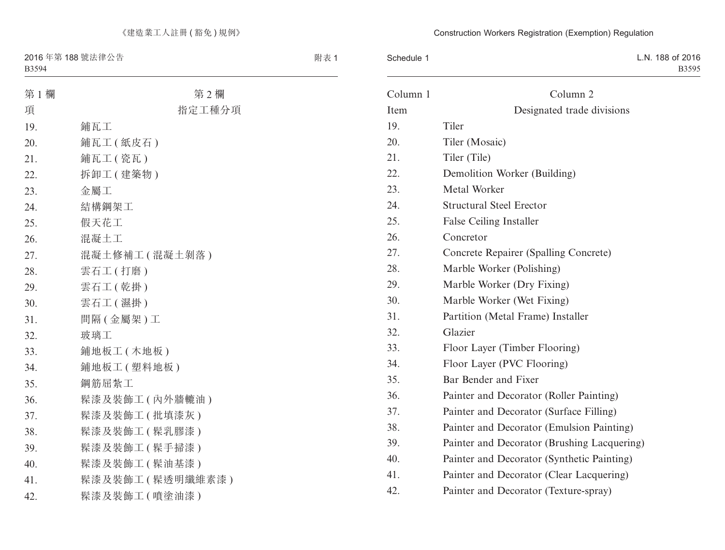19.

 $23.$ 24. 25. 26.

 $32.$ 

第 1 欄 まんない まんない 第 2 欄

| 項   | 指定工種分項           |
|-----|------------------|
| 19. | 鋪瓦工              |
| 20. | 鋪瓦工(紙皮石)         |
| 21. | 鋪瓦工(瓷瓦)          |
| 22. | 拆卸工 (建築物)        |
| 23. | 金屬工              |
| 24. | 結構鋼架工            |
| 25. | 假天花工             |
| 26. | 混凝土工             |
| 27. | 混凝土修補工 (混凝土剝落)   |
| 28. | 雲石工 (打磨)         |
| 29. | 雲石工 (乾掛)         |
| 30. | 雲石工 (濕掛)         |
| 31. | 間隔 (金屬架)工        |
| 32. | 玻璃工              |
| 33. | 鋪地板工 (木地板)       |
| 34. | 鋪地板工(塑料地板)       |
| 35. | 鋼筋屈紮工            |
| 36. | 髹漆及裝飾工(內外牆轆油)    |
| 37. | 髹漆及裝飾工 (批填漆灰)    |
| 38. | 髹漆及裝飾工 ( 髹乳膠漆 )  |
| 39. | 髹漆及裝飾工 (髹手掃漆)    |
| 40. | 髹漆及裝飾工 ( 髹油基漆)   |
| 41. | 髹漆及裝飾工 (髹透明纖維素漆) |
|     |                  |

42. 髹漆及裝飾工 (噴塗油漆)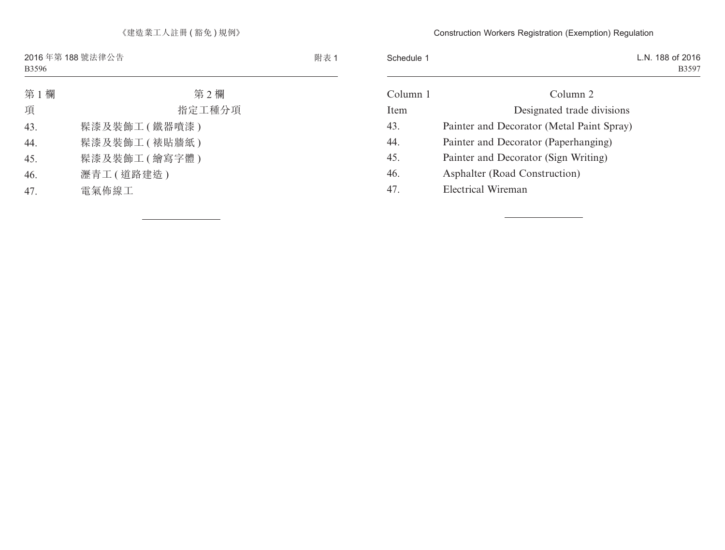第 1 欄 またま またま またま 第 2 欄 項 指定工種分項 43. 髹漆及裝飾工 ( 鐵器噴漆 ) 44. 髹漆及裝飾工 ( 裱貼牆紙 ) 45. 髹漆及裝飾工 ( 繪寫字體 ) 46. 瀝青工 ( 道路建造 )

47. 電氣佈線工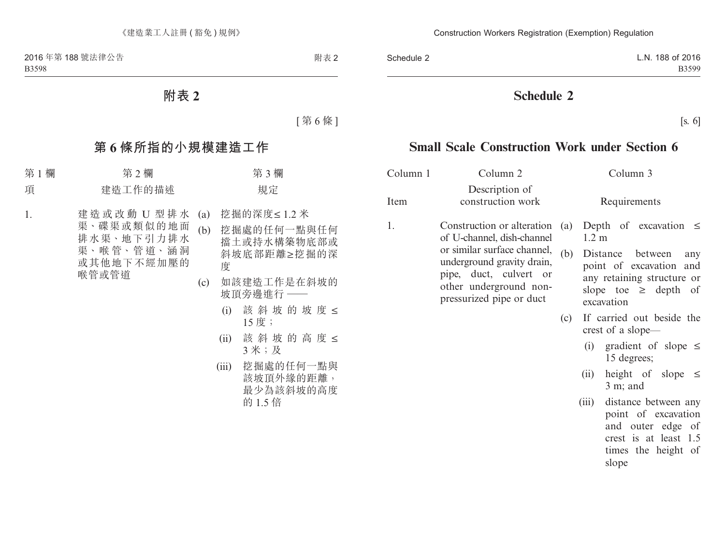## **附表 2**

[ 第 6 條 ]

# **第 6 條所指的小規模建造工作**

### 第 1 欄 まっちゃく 第 2 欄 はっちゃく かんきょう 第 3 欄 はっちゃく かんきょう 第 3 欄 はっちゃく かんきょう はんしゃ

#### 項 建造工作的描述 有效的 人名德尔

1. 建造或改動 U 型排水 渠、碟渠或類似的地面 排水渠、地下引力排水 渠、喉 管、管 道、涵 洞 或其他地下不經加壓的 喉管或管道

- (a) 挖掘的深度≤ 1.2 米
- (b) 挖掘處的任何一點與任何 擋土或持水構築物底部或 斜坡底部距離≥挖掘的深 度
- (c) 如該建造工作是在斜坡的 坡頂旁邊進行 ——
	- (i) 該斜坡的坡度 ≤ 15 度;
	- (ii) 該斜坡的高度 ≤ 3 米;及
	- (iii) 挖掘處的任何一點與 該坡頂外緣的距離, 最少為該斜坡的高度 的 1.5 倍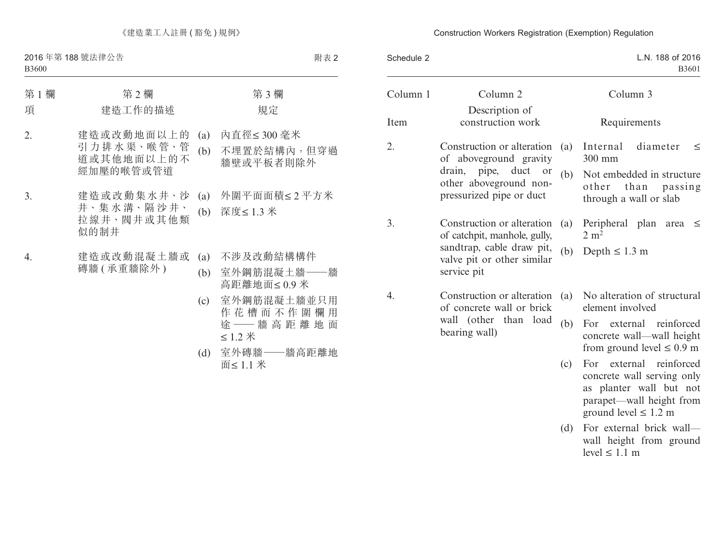### 第 1 欄 第 2 欄 第 3 欄 項 建造工作的描述 有效的 人名德尔 2. 建造或改動地面以上的 引 力 排 水 渠、喉 管、管 道或其他地面以上的不 經加壓的喉管或管道 (a) 內直徑≤ 300 毫米 (b) 不埋置於結構內,但穿過 牆壁或平板者則除外 3. 建造或改動集水井、沙 井、集 水 溝、隔 沙 井、 拉線井、閥井或其他類 似的制井 (a) 外圍平面面積≤ 2 平方米 (b) 深度≤ 1.3 米 4. 建造或改動混凝土牆或 磚牆 ( 承重牆除外 ) (a) 不涉及改動結構構件 (b) 室外鋼筋混凝土牆——牆 高距離地面≤ 0.9 米 (c) 室外鋼筋混凝土牆並只用 作花槽而不作圍欄用

≤ 1.2 米 (d) 室外磚牆——牆高距離地 面≤ 1.1 米

途 —— 牆 高 距 離 地 面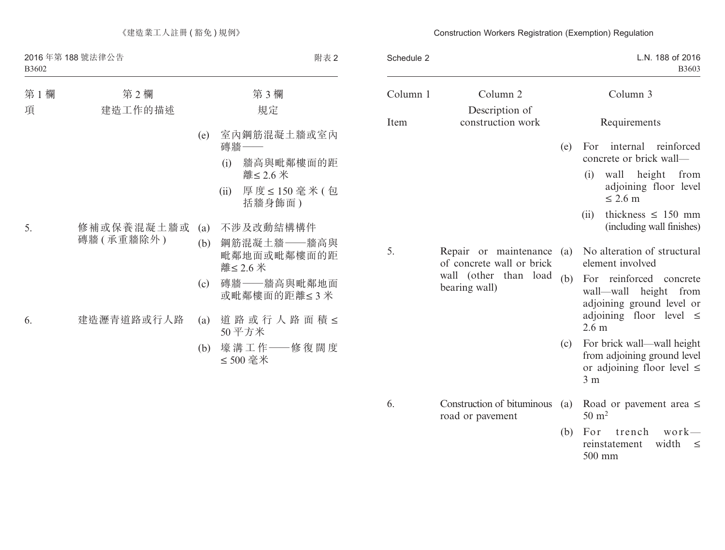| 第1欄<br>項 | 第2欄<br>建造工作的描述 |     |      | 第3欄<br>規定                              |
|----------|----------------|-----|------|----------------------------------------|
|          |                | (e) |      | 室內鋼筋混凝土牆或室內<br>磚牆 ——                   |
|          |                |     | (i)  | 牆高與毗鄰樓面的距<br>離≤ 2.6 米                  |
|          |                |     | (ii) | 厚度≤150毫米(包<br>括牆身飾面)                   |
| 5.       | 修補或保養混凝土牆或     | (a) |      | 不涉及改動結構構件                              |
|          | 磚牆(承重牆除外)      | (b) |      | 鋼筋混凝土牆––牆高與<br>毗鄰地面或毗鄰樓面的距<br>離≤ 2.6 米 |
|          |                | (c) |      | 磚牆——牆高與毗鄰地面<br>或毗鄰樓面的距離≤3米             |
| 6.       | 建造瀝青道路或行人路     | (a) |      | 道路或行人路面積 ≤<br>50平方米                    |
|          |                | (b) |      | 壕 溝 工 作 ――修 復 闊 度<br>≤500 毫米           |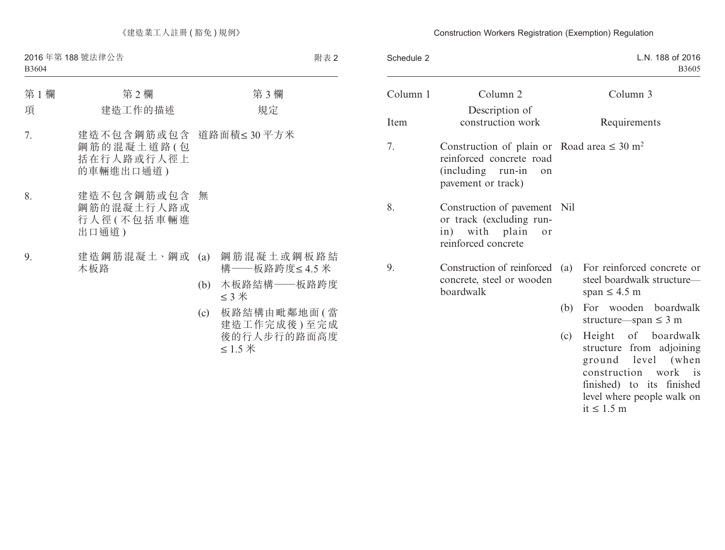第 1 欄 **第 2 欄** 第 3 個 第 3 欄 項 建造工作的描述 有效的 人名德尔 7. 建造不包含鋼筋或包含 道路面積≤30平方米 鋼筋的混凝土道路 (句 括在行人路或行人徑上 的車輛進出口通道 ) 8. 建造不包含鋼筋或包含 鋼筋的混凝土行人路或 行人徑 ( 不包括車輛進 出口通道 ) 無 9. 建造鋼筋混凝土、鋼或 木板路 (a) 鋼筋混凝土或鋼板路結 構——板路跨度≤ 4.5 米 (b) 木板路結構——板路跨度 ≤ 3 米

> (c) 板路結構由毗鄰地面 ( 當 建造工作完成後 ) 至完成 後的行人步行的路面高度 ≤ 1.5 米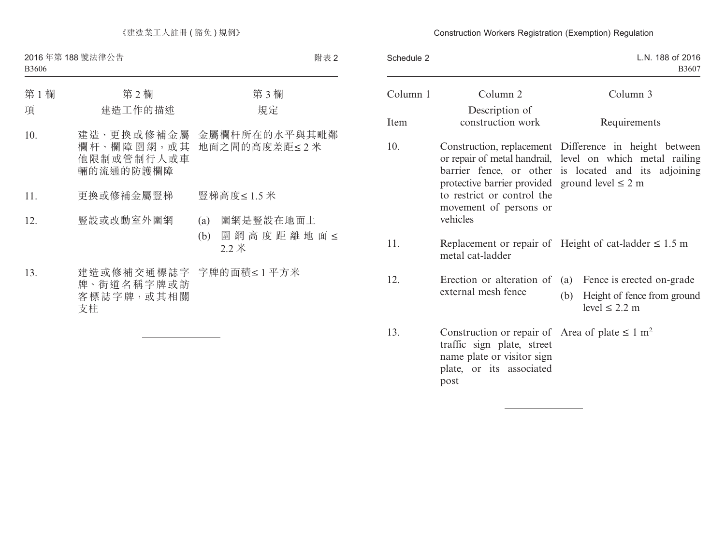| 第1欄<br>項 | 第2欄<br>建造工作的描述                                          | 第3欄<br>規定                                               |  |
|----------|---------------------------------------------------------|---------------------------------------------------------|--|
| 10.      | 欄 杆、欄 障 圍 網,或 其<br>他限制或管制行人或車<br>輛的流通的防護欄障              | 建造、更换或修補金屬 金屬欄杆所在的水平與其毗鄰<br>地面之間的高度差距≤2米                |  |
| 11.      | 更換或修補金屬豎梯                                               | 豎梯高度≤1.5 米                                              |  |
| 12.      | 豎設或改動室外圍網                                               | 圍網是豎設在地面上<br>(a)<br>圍 網 高 度 距 離 地 面 <<br>(b)<br>$2.2$ 米 |  |
| 13.      | 建造或修補交通標誌字 字牌的面積≤1平方米<br>牌、街道名稱字牌或訪<br>客標誌字牌,或其相關<br>支柱 |                                                         |  |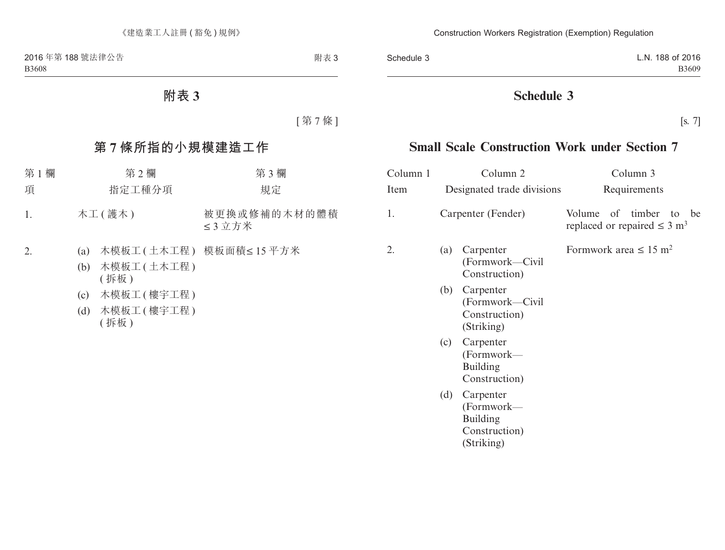# **附表 3**

[ 第 7 條 ]

# **第 7 條所指的小規模建造工作**

| 第1欄              | 第2欄                                 | 第3欄                      |
|------------------|-------------------------------------|--------------------------|
| 項                | 指定工種分項                              | 規定                       |
| $\overline{1}$ . | 木工(護木)                              | 被更换或修補的木材的體積<br>≤3立方米    |
|                  | (a)<br>木模板工 ( 土木工程 )<br>(b)<br>(拆板) | 木模板工(土木工程) 模板面積 ≤ 15 平方米 |

- (c) 木模板工 ( 樓宇工程 )
- (d) 木模板工 ( 樓宇工程 ) ( 拆板 )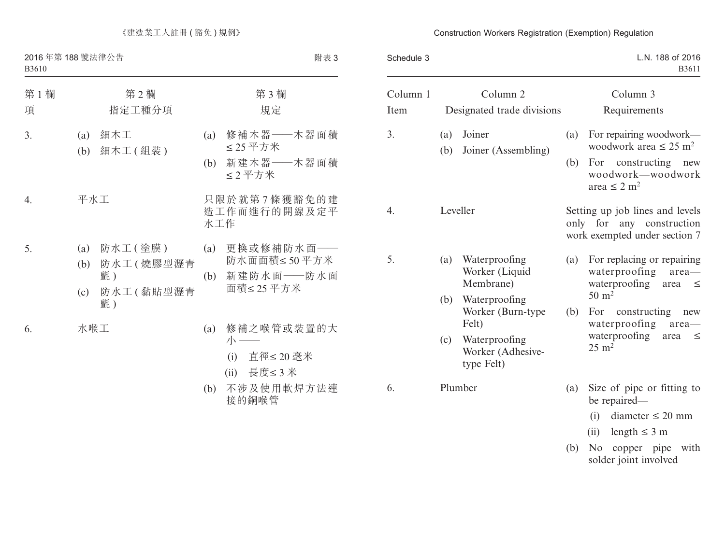B3610

附表 3

| 第1欄<br>項       | 第2欄<br>指定工種分項                                                         | 第3欄<br>規定                                                         |
|----------------|-----------------------------------------------------------------------|-------------------------------------------------------------------|
| 3.             | 細木工<br>(a)<br>細木工 ( 組装 )<br>(b)                                       | 修補木器——木器面積<br>(a)<br>≤25平方米<br>新建木器——木器面積<br>(b)<br>≤2平方米         |
| $\mathbf{4}$ . | 平水工                                                                   | 只限於就第7條獲豁免的建<br>造工作而進行的開線及定平<br>水工作                               |
| 5.             | 防水工 ( 塗膜 )<br>(a)<br>防水工(燒膠型瀝青<br>(b)<br>氈)<br>防水工(黏貼型瀝青<br>(c)<br>氈) | 更換或修補防水面——<br>(a)<br>防水面面積≤50平方米<br>新建防水面——防水面<br>(b)<br>面積≤25平方米 |
| 6.             | 水喉工                                                                   | 修補之喉管或裝置的大<br>(a)<br>小一<br>(i) 直徑≤20 毫米<br>(ii) 長度≤3米             |

(b) 不涉及使用軟焊方法連 接的銅喉管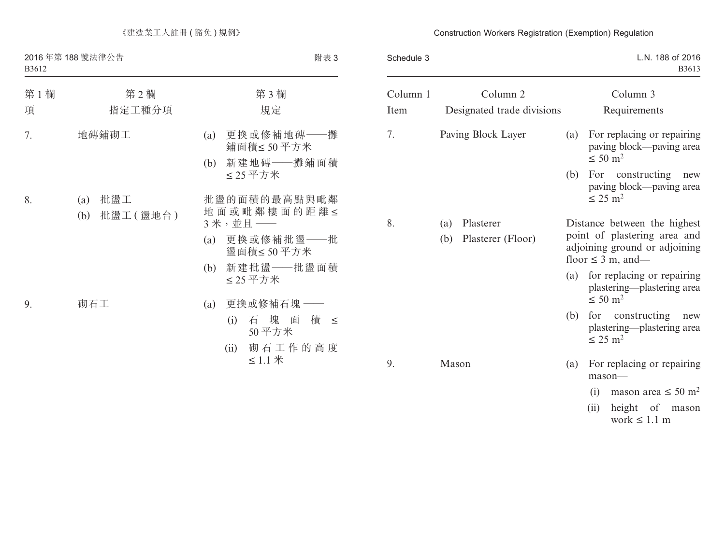### B3612

| 第1欄 | 第2欄                           | 第3欄                                          |
|-----|-------------------------------|----------------------------------------------|
| 項   | 指定工種分項                        | 規定                                           |
| 7.  | 地磚鋪砌工                         | 更換或修補地磚——攤<br>(a)<br>鋪面積≤50平方米               |
|     |                               | 新建地磚——攤鋪面積<br>(b)<br>≤25平方米                  |
| 8.  | 批盪工<br>(a)<br>批盪工(盪地台)<br>(b) | 批盪的面積的最高點與毗鄰<br>地面或毗鄰樓面的距離≤<br>$3 *$ , 並且 —— |
|     |                               | 更換或修補批盪——批<br>(a)<br>盪面積≤50平方米               |
|     |                               | 新建批盪——批盪面積<br>(b)<br>≤25平方米                  |
| 9.  | 砌石工                           | 更換或修補石塊 ——<br>(a)                            |
|     |                               | (i) 石 塊 面<br>積<br>$\leq$<br>50平方米            |
|     |                               | 砌石工作的高度<br>(ii)<br>≤ 1.1 $#$                 |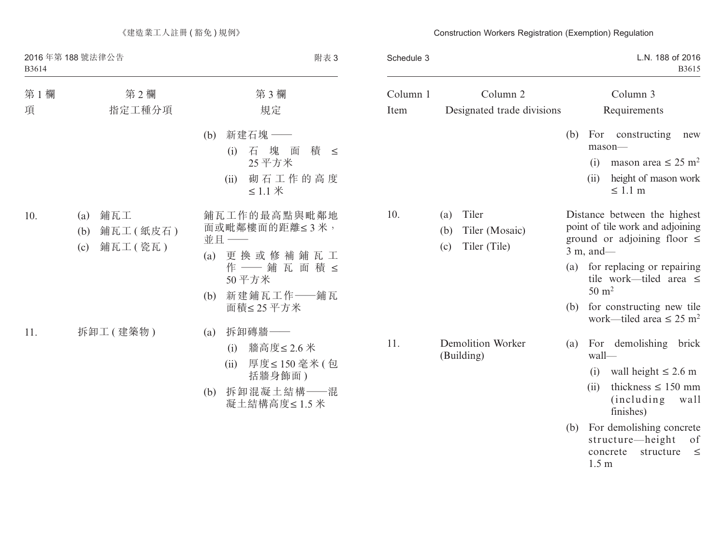第 1 欄 まんまちゃく 第 2 欄 まんまん まんまん 第 3 欄 まんまん 第 3 欄 項 指定工種分項 規定 (b) 新建石塊 —— (i) 石塊面積 ≤ 25 平方米 (ii) 砌石工作的高度 ≤ 1.1 米 10. (a) 鋪瓦工 (b) 鋪瓦工 ( 紙皮石 ) (c) 鋪瓦工 ( 瓷瓦 ) 鋪瓦工作的最高點與毗鄰地 面或毗鄰樓面的距離≤ 3 米, 並且 —— (a) 更換或修補鋪瓦工 作 —— 鋪 瓦 面 積 ≤ 50 平方米 (b) 新建鋪瓦工作——鋪瓦 面積≤ 25 平方米 11. 拆卸工 (建築物) (a) 拆卸磚牆–– (i) 牆高度≤ 2.6 米 (ii) 厚度≤ 150 毫米 ( 包 括牆身飾面 )

(b) 拆卸混凝土結構——混 凝土結構高度≤ 1.5 米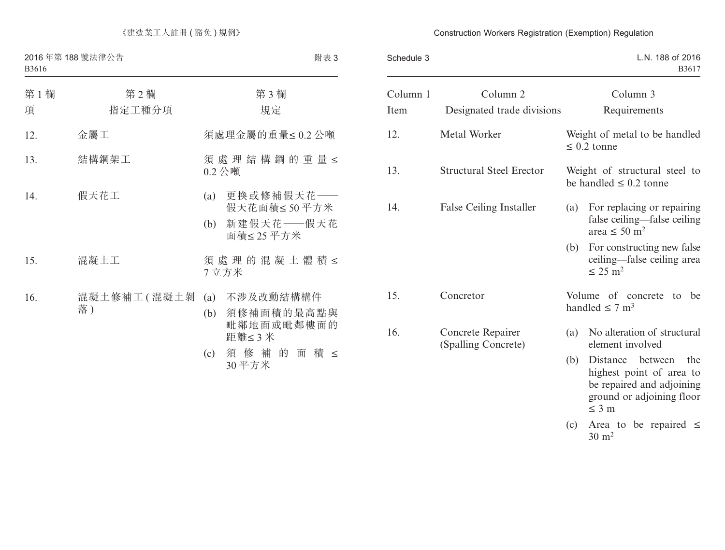| 第1欄<br>項 | 第2欄<br>指定工種分項     | 第3欄<br>規定                                                         |
|----------|-------------------|-------------------------------------------------------------------|
| 12.      | 金屬工               | 須處理金屬的重量≤0.2公噸                                                    |
| 13.      | 結構鋼架工             | 須處理結構鋼的重量≤<br>$0.2 \triangle$ 噸                                   |
| 14.      | 假天花工              | 更換或修補假天花——<br>(a)<br>假天花面積≤50平方米<br>新建假天花——假天花<br>(b)<br>面積≤25平方米 |
| 15.      | 混凝土工              | 須處理的混凝土體積≤<br>7立方米                                                |
| 16.      | 混凝土修補工(混凝土剝<br>落) | 不涉及改動結構構件<br>(a)<br>須修補面積的最高點與<br>(b)<br>毗鄰地面或毗鄰樓面的<br>距離≤3米      |
|          |                   | 須修補的<br>積 ≤<br>面<br>(c)<br>30平方米                                  |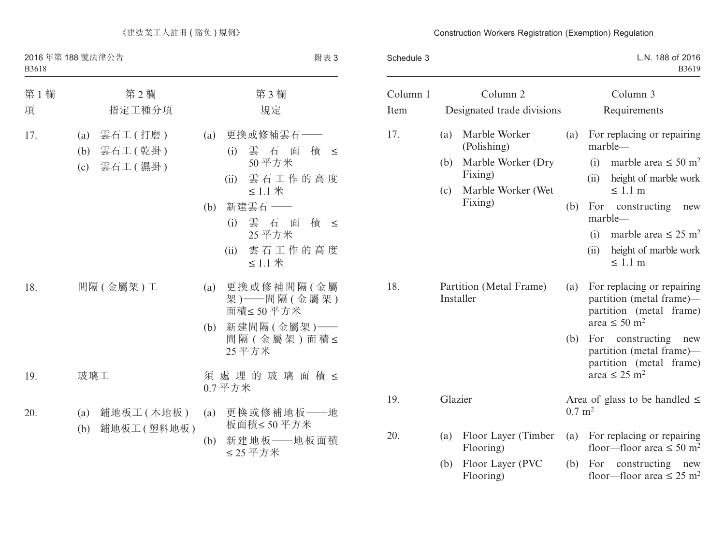| 第1欄<br>項 | 第2欄<br>指定工種分項                                     | 第3欄<br>規定                                                                                    |
|----------|---------------------------------------------------|----------------------------------------------------------------------------------------------|
| 17.      | 雲石工 (打磨)<br>(a)<br>雲石工(乾掛)<br>(b)<br>(c) 雲石工 (濕掛) | 更換或修補雲石-<br>(a)<br>雲 石 面<br>積<br>(i)<br>$\leq$<br>50平方米<br>雲石工作的高度<br>(ii)<br>$≤ 1.1$ $*$    |
|          |                                                   | 新建雲石 ––<br>(b)<br>雲石面<br>積 ≤<br>(i)<br>25 平方米<br>雲石工作的高度<br>(ii)<br>≤ 1.1 $#$                |
| 18.      | 間隔(金屬架)工                                          | 更換或修補間隔(金屬<br>(a)<br>架) -- 間隔(金屬架)<br>面積≤50平方米<br>新建間隔(金屬架)––<br>(b)<br>間隔(金屬架)面積≤<br>25 平方米 |
| 19.      | 玻璃工                                               | 須處理的玻璃面積≤<br>$0.7 - T$                                                                       |
| 20.      | 鋪地板工 (木地板)<br>(a)<br>鋪地板工(塑料地板)<br>(b)            | 更換或修補地板——地<br>(a)<br>板面積≤50平方米<br>新建地板——地板面積<br>(b)<br>≤25平方米                                |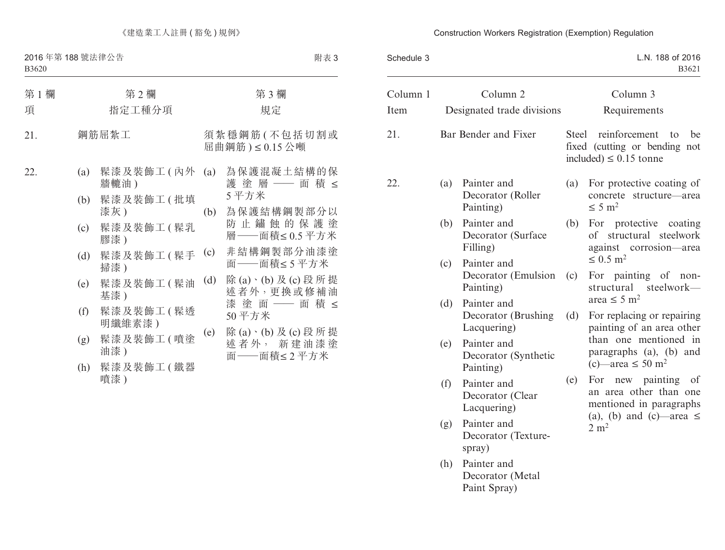### B3620

| 第1欄<br>項 |                                                      | 第2欄<br>指定工種分項                                                                                                                                                     |                                 | 第3欄<br>規定                                                                                                                                                                                                                   |
|----------|------------------------------------------------------|-------------------------------------------------------------------------------------------------------------------------------------------------------------------|---------------------------------|-----------------------------------------------------------------------------------------------------------------------------------------------------------------------------------------------------------------------------|
| 21.      |                                                      | 鋼筋屈紮工                                                                                                                                                             |                                 | 須紮穩鋼筋(不包括切割或<br>屈曲鋼筋)≤0.15公噸                                                                                                                                                                                                |
| 22.      | (a)<br>(b)<br>(c)<br>(d)<br>(e)<br>(f)<br>(g)<br>(h) | 髹漆及裝飾工(內外<br>牆轆油)<br>髹漆及裝飾工 (批填<br>漆灰)<br>髹漆及装飾工(髹乳<br>膠漆)<br>髹漆及装飾工(髹手<br>掃漆)<br>髹漆及装飾工(髹油<br>基漆)<br>髹漆及裝飾工(髹透<br>明纖維素漆)<br>髹漆及装飾工(噴塗<br>油漆)<br>髹漆及裝飾工(鐵器<br>噴漆) | (a)<br>(b)<br>(c)<br>(d)<br>(e) | 為保護混凝土結構的保<br>護 塗 層 ―― 面 積 ≤<br>5平方米<br>為保護結構鋼製部分以<br>防止鏽蝕的保護塗<br>層──面積≤0.5平方米<br>非結構鋼製部分油漆塗<br>面——面積≤5平方米<br>除(a)、(b)及(c)段所提<br>述者外,更换或修補油<br>漆 塗 面 ── 面 積 ≤<br>50平方米<br>除(a)、(b) 及(c) 段 所 提<br>述者外, 新建油漆塗<br>面 -- 面積≤2平方米 |
|          |                                                      |                                                                                                                                                                   |                                 |                                                                                                                                                                                                                             |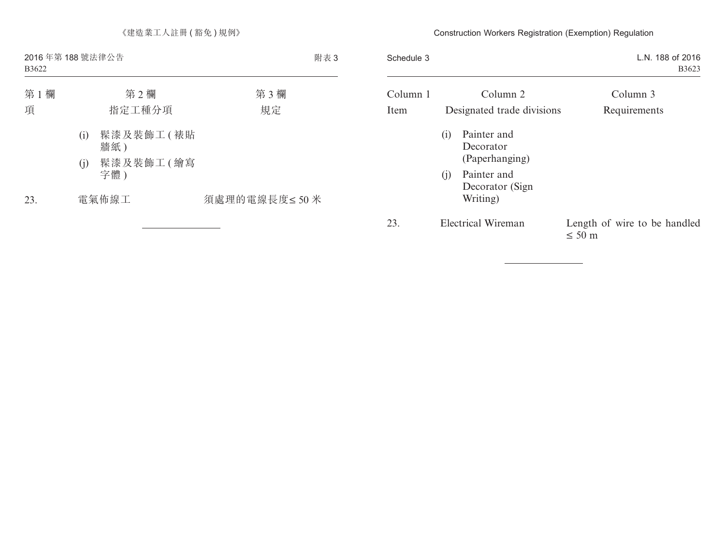| 第1欄<br>項 | 第2欄<br>指定工種分項           | 第3欄<br>規定    |  |
|----------|-------------------------|--------------|--|
|          | 髹漆及裝飾工(裱貼<br>(i)<br>牆紙) |              |  |
|          | 髹漆及裝飾工(繪寫<br>(i)<br>字體) |              |  |
| 23.      | 電氣佈線工                   | 須處理的電線長度≤50米 |  |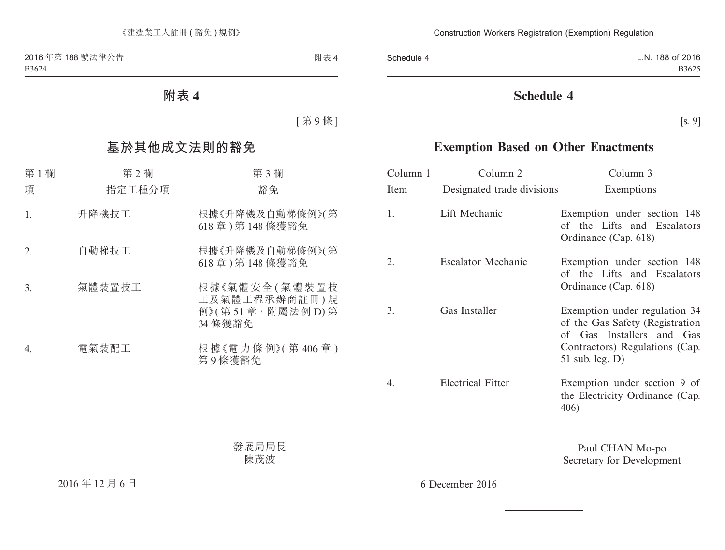**附表 4**

[ 第 9 條 ]

# **基於其他成文法則的豁免**

| 第1欄<br>項 | 第2欄<br>指定工種分項 | 第3欄<br>豁免                                                    |
|----------|---------------|--------------------------------------------------------------|
| 1.       | 升降機技工         | 根據《升降機及自動梯條例》(第<br>618 章) 第 148 條獲豁免                         |
| 2.       | 自動梯技工         | 根據《升降機及自動梯條例》(第<br>618 章) 第 148 條獲豁免                         |
| 3.       | 氣體裝置技工        | 根據《氣體安全(氣體裝置技<br>工及氣體工程承辦商註冊)規<br>例》(第51章,附屬法例D)第<br>34 條獲豁免 |
| 4.       | 電氣裝配工         | 根據《電力條例》(第406章)<br>第9條獲豁免                                    |

發展局局長 陳茂波

2016 年 12 月 6 日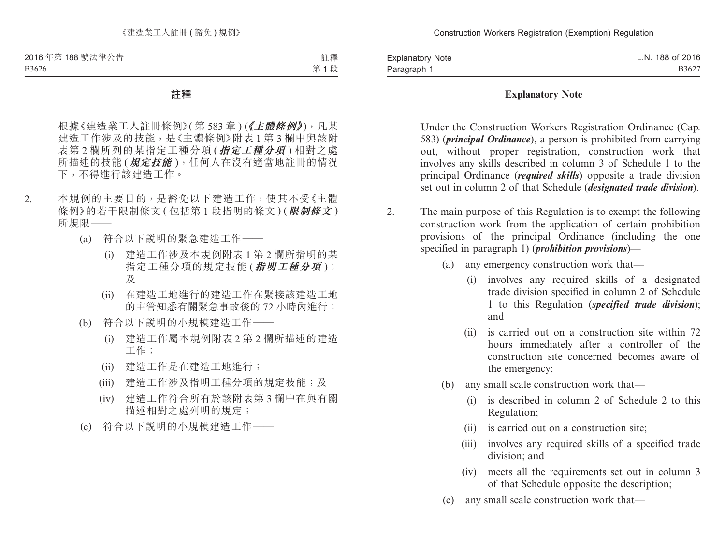註釋 第 1 段

#### **註釋**

根據《建造業工人註冊條例》(第583章)(《主體條例》),凡某 建造工作涉及的技能,是《主體條例》附表 1 第 3 欄中與該附 表第 2 欄所列的某指定工種分項 (**指定工種分項** ) 相對之處 所描述的技能 (**規定技能** ),任何人在沒有適當地註冊的情況 下,不得進行該建造工作。

- 2. 本規例的主要目的,是豁免以下建造工作,使其不受《主體 條例》的若干限制條文 ( 包括第 1 段指明的條文 ) (**限制條文** ) 所規限——
	- (a) 符合以下說明的緊急建造工作——
		- (i) 建造工作涉及本規例附表 1 第 2 欄所指明的某 指定工種分項的規定技能 (**指明工種分項** ); 及
		- (ii) 在建造工地進行的建造工作在緊接該建造工地 的主管知悉有關緊急事故後的 72 小時內進行;
	- (b) 符合以下說明的小規模建造工作——
		- (i) 建造工作屬本規例附表 2 第 2 欄所描述的建造 工作;
		- (ii) 建造工作是在建造工地進行;
		- (iii) 建造工作涉及指明工種分項的規定技能;及
		- (iv) 建造工作符合所有於該附表第 3 欄中在與有關 描述相對之處列明的規定;
	- (c) 符合以下說明的小規模建造工作——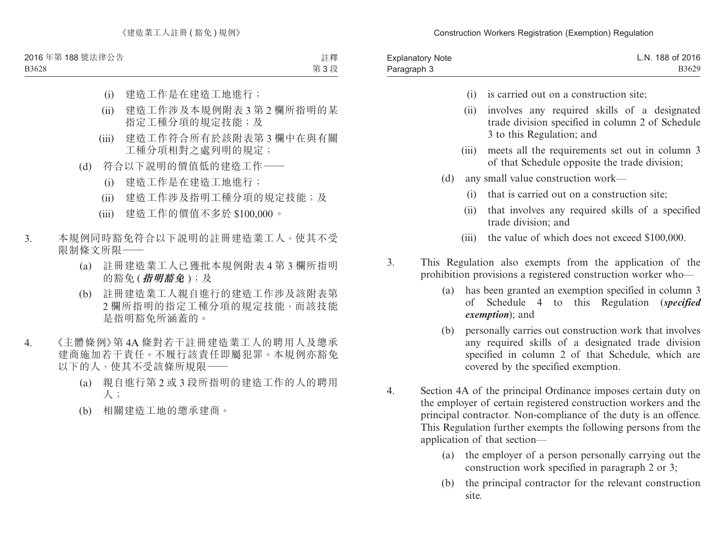B3628

註釋 第 3 段

- (i) 建造工作是在建造工地進行;
- (ii) 建造工作涉及本規例附表 3 第 2 欄所指明的某 指定工種分項的規定技能;及
- (iii) 建造工作符合所有於該附表第 3 欄中在與有關 工種分項相對之處列明的規定;
- (d) 符合以下說明的價值低的建造工作——
	- (i) 建造工作是在建造工地進行;
	- (ii) 建造工作涉及指明工種分項的規定技能;及
	- (iii) 建造工作的價值不多於 \$100,000。
- 3. 本規例同時豁免符合以下說明的註冊建造業工人,使其不受 限制條文所限——
	- (a) 註冊建造業工人已獲批本規例附表 4 第 3 欄所指明 的豁免 (**指明豁免** );及
	- (b) 註冊建造業工人親自進行的建造工作涉及該附表第 2 欄所指明的指定工種分項的規定技能,而該技能 是指明豁免所涵蓋的。
- 4. 《主體條例》第 4A 條對若干註冊建造業工人的聘用人及總承 建商施加若干責任。不履行該責任即屬犯罪。本規例亦豁免 以下的人,使其不受該條所規限——
	- (a) 親自進行第 2 或 3 段所指明的建造工作的人的聘用 人;
	- (b) 相關建造工地的總承建商。